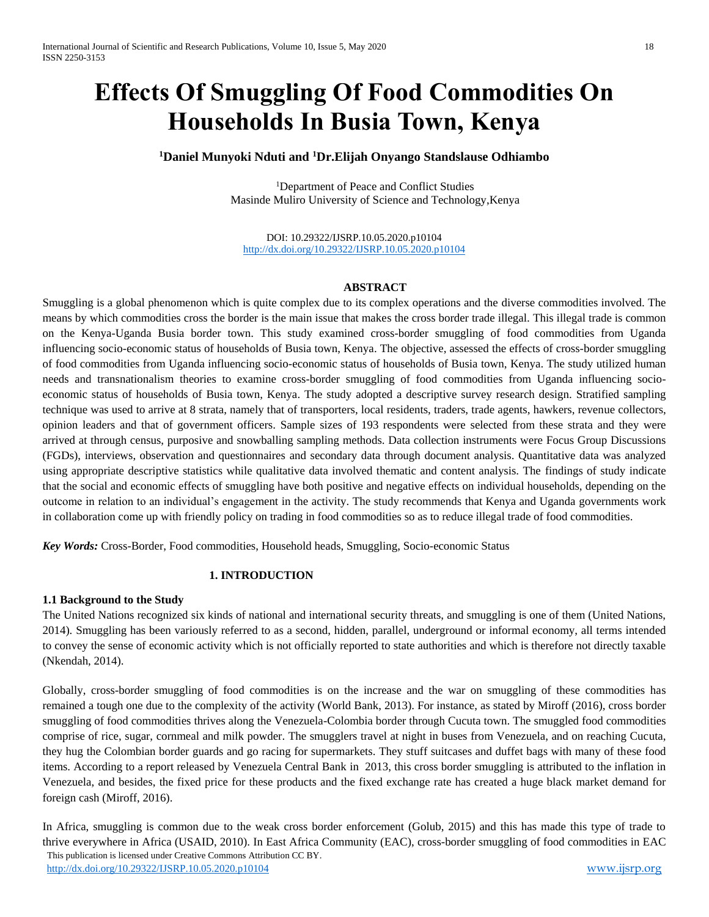# **Effects Of Smuggling Of Food Commodities On Households In Busia Town, Kenya**

# **<sup>1</sup>Daniel Munyoki Nduti and <sup>1</sup>Dr.Elijah Onyango Standslause Odhiambo**

<sup>1</sup>Department of Peace and Conflict Studies Masinde Muliro University of Science and Technology,Kenya

DOI: 10.29322/IJSRP.10.05.2020.p10104 <http://dx.doi.org/10.29322/IJSRP.10.05.2020.p10104>

# **ABSTRACT**

Smuggling is a global phenomenon which is quite complex due to its complex operations and the diverse commodities involved. The means by which commodities cross the border is the main issue that makes the cross border trade illegal. This illegal trade is common on the Kenya-Uganda Busia border town. This study examined cross-border smuggling of food commodities from Uganda influencing socio-economic status of households of Busia town, Kenya. The objective, assessed the effects of cross-border smuggling of food commodities from Uganda influencing socio-economic status of households of Busia town, Kenya. The study utilized human needs and transnationalism theories to examine cross-border smuggling of food commodities from Uganda influencing socioeconomic status of households of Busia town, Kenya. The study adopted a descriptive survey research design. Stratified sampling technique was used to arrive at 8 strata, namely that of transporters, local residents, traders, trade agents, hawkers, revenue collectors, opinion leaders and that of government officers. Sample sizes of 193 respondents were selected from these strata and they were arrived at through census, purposive and snowballing sampling methods. Data collection instruments were Focus Group Discussions (FGDs), interviews, observation and questionnaires and secondary data through document analysis. Quantitative data was analyzed using appropriate descriptive statistics while qualitative data involved thematic and content analysis. The findings of study indicate that the social and economic effects of smuggling have both positive and negative effects on individual households, depending on the outcome in relation to an individual's engagement in the activity. The study recommends that Kenya and Uganda governments work in collaboration come up with friendly policy on trading in food commodities so as to reduce illegal trade of food commodities.

*Key Words:* Cross-Border, Food commodities, Household heads, Smuggling, Socio-economic Status

# **1. INTRODUCTION**

#### **1.1 Background to the Study**

The United Nations recognized six kinds of national and international security threats, and smuggling is one of them (United Nations, 2014). Smuggling has been variously referred to as a second, hidden, parallel, underground or informal economy, all terms intended to convey the sense of economic activity which is not officially reported to state authorities and which is therefore not directly taxable (Nkendah, 2014).

Globally, cross-border smuggling of food commodities is on the increase and the war on smuggling of these commodities has remained a tough one due to the complexity of the activity (World Bank, 2013). For instance, as stated by Miroff (2016), cross border smuggling of food commodities thrives along the Venezuela-Colombia border through Cucuta town. The smuggled food commodities comprise of rice, sugar, cornmeal and milk powder. The smugglers travel at night in buses from Venezuela, and on reaching Cucuta, they hug the Colombian border guards and go racing for supermarkets. They stuff suitcases and duffet bags with many of these food items. According to a report released by Venezuela Central Bank in 2013, this cross border smuggling is attributed to the inflation in Venezuela, and besides, the fixed price for these products and the fixed exchange rate has created a huge black market demand for foreign cash (Miroff, 2016).

 This publication is licensed under Creative Commons Attribution CC BY. <http://dx.doi.org/10.29322/IJSRP.10.05.2020.p10104> [www.ijsrp.org](http://ijsrp.org/) In Africa, smuggling is common due to the weak cross border enforcement (Golub, 2015) and this has made this type of trade to thrive everywhere in Africa (USAID, 2010). In East Africa Community (EAC), cross-border smuggling of food commodities in EAC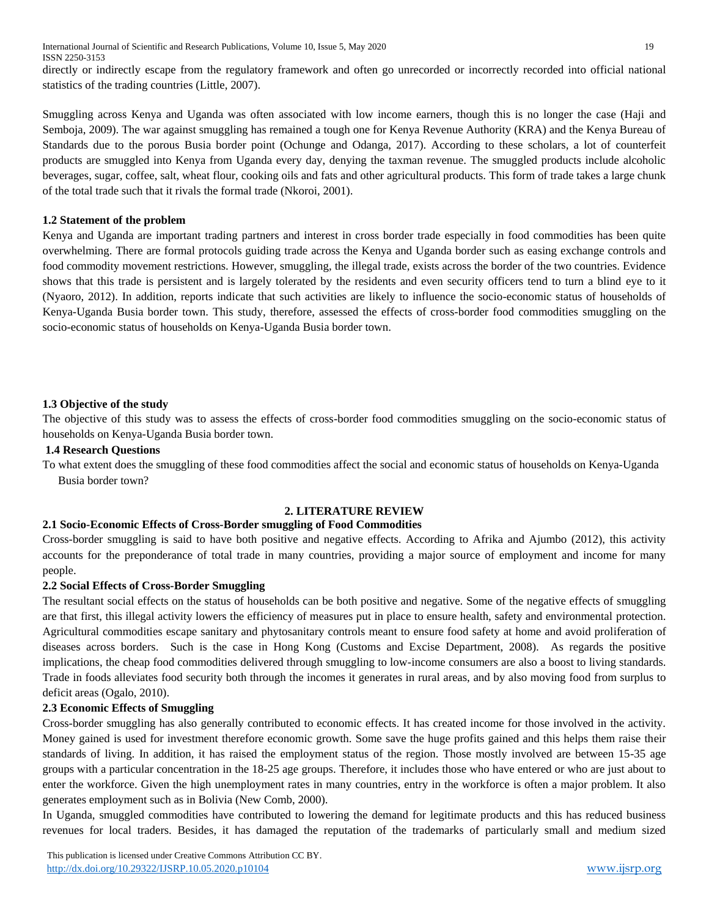directly or indirectly escape from the regulatory framework and often go unrecorded or incorrectly recorded into official national statistics of the trading countries (Little, 2007).

Smuggling across Kenya and Uganda was often associated with low income earners, though this is no longer the case (Haji and Semboja, 2009). The war against smuggling has remained a tough one for Kenya Revenue Authority (KRA) and the Kenya Bureau of Standards due to the porous Busia border point (Ochunge and Odanga, 2017). According to these scholars, a lot of counterfeit products are smuggled into Kenya from Uganda every day, denying the taxman revenue. The smuggled products include alcoholic beverages, sugar, coffee, salt, wheat flour, cooking oils and fats and other agricultural products. This form of trade takes a large chunk of the total trade such that it rivals the formal trade (Nkoroi, 2001).

# **1.2 Statement of the problem**

Kenya and Uganda are important trading partners and interest in cross border trade especially in food commodities has been quite overwhelming. There are formal protocols guiding trade across the Kenya and Uganda border such as easing exchange controls and food commodity movement restrictions. However, smuggling, the illegal trade, exists across the border of the two countries. Evidence shows that this trade is persistent and is largely tolerated by the residents and even security officers tend to turn a blind eye to it (Nyaoro, 2012). In addition, reports indicate that such activities are likely to influence the socio-economic status of households of Kenya-Uganda Busia border town. This study, therefore, assessed the effects of cross-border food commodities smuggling on the socio-economic status of households on Kenya-Uganda Busia border town.

# **1.3 Objective of the study**

The objective of this study was to assess the effects of cross-border food commodities smuggling on the socio-economic status of households on Kenya-Uganda Busia border town.

#### **1.4 Research Questions**

To what extent does the smuggling of these food commodities affect the social and economic status of households on Kenya-Uganda Busia border town?

#### **2. LITERATURE REVIEW**

#### **2.1 Socio-Economic Effects of Cross-Border smuggling of Food Commodities**

Cross-border smuggling is said to have both positive and negative effects. According to Afrika and Ajumbo (2012), this activity accounts for the preponderance of total trade in many countries, providing a major source of employment and income for many people.

#### **2.2 Social Effects of Cross-Border Smuggling**

The resultant social effects on the status of households can be both positive and negative. Some of the negative effects of smuggling are that first, this illegal activity lowers the efficiency of measures put in place to ensure health, safety and environmental protection. Agricultural commodities escape sanitary and phytosanitary controls meant to ensure food safety at home and avoid proliferation of diseases across borders. Such is the case in Hong Kong (Customs and Excise Department, 2008). As regards the positive implications, the cheap food commodities delivered through smuggling to low-income consumers are also a boost to living standards. Trade in foods alleviates food security both through the incomes it generates in rural areas, and by also moving food from surplus to deficit areas (Ogalo, 2010).

#### **2.3 Economic Effects of Smuggling**

Cross-border smuggling has also generally contributed to economic effects. It has created income for those involved in the activity. Money gained is used for investment therefore economic growth. Some save the huge profits gained and this helps them raise their standards of living. In addition, it has raised the employment status of the region. Those mostly involved are between 15-35 age groups with a particular concentration in the 18-25 age groups. Therefore, it includes those who have entered or who are just about to enter the workforce. Given the high unemployment rates in many countries, entry in the workforce is often a major problem. It also generates employment such as in Bolivia (New Comb, 2000).

In Uganda, smuggled commodities have contributed to lowering the demand for legitimate products and this has reduced business revenues for local traders. Besides, it has damaged the reputation of the trademarks of particularly small and medium sized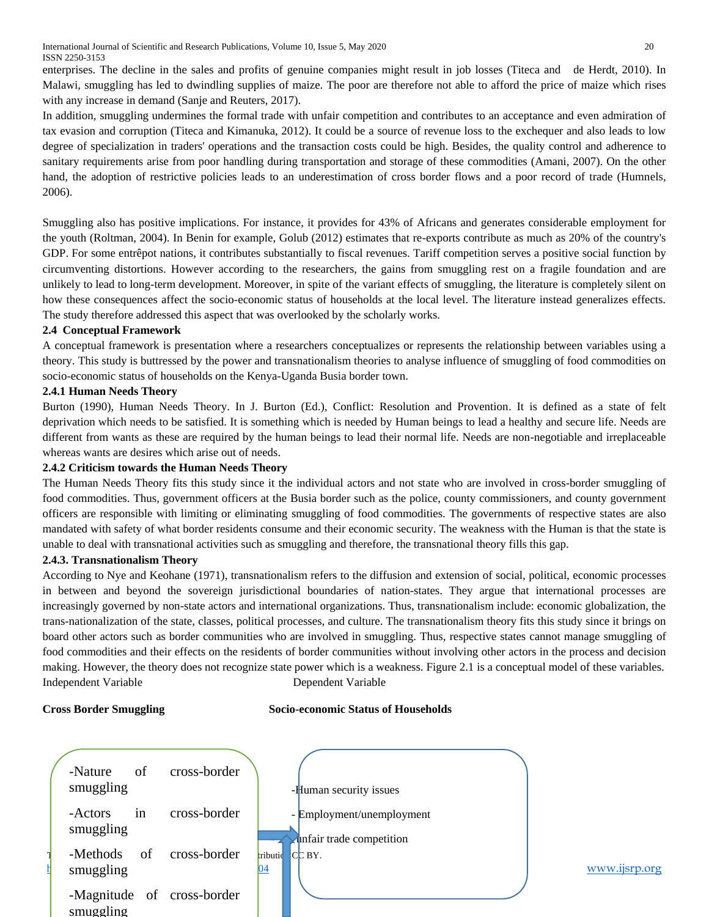International Journal of Scientific and Research Publications, Volume 10, Issue 5, May 2020 20 ISSN 2250-3153

enterprises. The decline in the sales and profits of genuine companies might result in job losses (Titeca and de Herdt, 2010). In Malawi, smuggling has led to dwindling supplies of maize. The poor are therefore not able to afford the price of maize which rises with any increase in demand (Sanje and Reuters, 2017).

In addition, smuggling undermines the formal trade with unfair competition and contributes to an acceptance and even admiration of tax evasion and corruption (Titeca and Kimanuka, 2012). It could be a source of revenue loss to the exchequer and also leads to low degree of specialization in traders' operations and the transaction costs could be high. Besides, the quality control and adherence to sanitary requirements arise from poor handling during transportation and storage of these commodities (Amani, 2007). On the other hand, the adoption of restrictive policies leads to an underestimation of cross border flows and a poor record of trade (Humnels, 2006).

Smuggling also has positive implications. For instance, it provides for 43% of Africans and generates considerable employment for the youth (Roltman, 2004). In Benin for example, Golub (2012) estimates that re-exports contribute as much as 20% of the country's GDP. For some entrêpot nations, it contributes substantially to fiscal revenues. Tariff competition serves a positive social function by circumventing distortions. However according to the researchers, the gains from smuggling rest on a fragile foundation and are unlikely to lead to long-term development. Moreover, in spite of the variant effects of smuggling, the literature is completely silent on how these consequences affect the socio-economic status of households at the local level. The literature instead generalizes effects. The study therefore addressed this aspect that was overlooked by the scholarly works.

# **2.4 Conceptual Framework**

A conceptual framework is presentation where a researchers conceptualizes or represents the relationship between variables using a theory. This study is buttressed by the power and transnationalism theories to analyse influence of smuggling of food commodities on socio-economic status of households on the Kenya-Uganda Busia border town.

# **2.4.1 Human Needs Theory**

Burton (1990), Human Needs Theory. In J. Burton (Ed.), Conflict: Resolution and Provention. It is defined as a state of felt deprivation which needs to be satisfied. It is something which is needed by Human beings to lead a healthy and secure life. Needs are different from wants as these are required by the human beings to lead their normal life. Needs are non-negotiable and irreplaceable whereas wants are desires which arise out of needs.

#### **2.4.2 Criticism towards the Human Needs Theory**

The Human Needs Theory fits this study since it the individual actors and not state who are involved in cross-border smuggling of food commodities. Thus, government officers at the Busia border such as the police, county commissioners, and county government officers are responsible with limiting or eliminating smuggling of food commodities. The governments of respective states are also mandated with safety of what border residents consume and their economic security. The weakness with the Human is that the state is unable to deal with transnational activities such as smuggling and therefore, the transnational theory fills this gap.

#### **2.4.3. Transnationalism Theory**

According to Nye and Keohane (1971), transnationalism refers to the diffusion and extension of social, political, economic processes in between and beyond the sovereign jurisdictional boundaries of nation-states. They argue that international processes are increasingly governed by non-state actors and international organizations. Thus, transnationalism include: economic globalization, the trans-nationalization of the state, classes, political processes, and culture. The transnationalism theory fits this study since it brings on board other actors such as border communities who are involved in smuggling. Thus, respective states cannot manage smuggling of food commodities and their effects on the residents of border communities without involving other actors in the process and decision making. However, the theory does not recognize state power which is a weakness. Figure 2.1 is a conceptual model of these variables. Independent Variable Dependent Variable

#### **Cross Border Smuggling Socio-economic Status of Households**

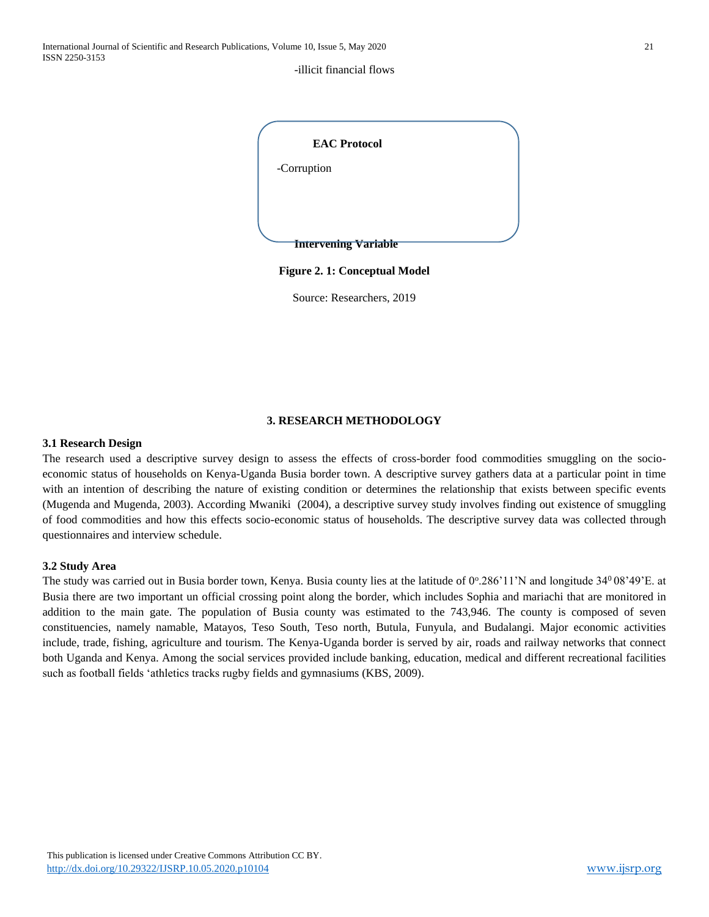#### -illicit financial flows



Source: Researchers, 2019

#### **3. RESEARCH METHODOLOGY**

# **3.1 Research Design**

The research used a descriptive survey design to assess the effects of cross-border food commodities smuggling on the socioeconomic status of households on Kenya-Uganda Busia border town. A descriptive survey gathers data at a particular point in time with an intention of describing the nature of existing condition or determines the relationship that exists between specific events (Mugenda and Mugenda, 2003). According Mwaniki (2004), a descriptive survey study involves finding out existence of smuggling of food commodities and how this effects socio-economic status of households. The descriptive survey data was collected through questionnaires and interview schedule.

#### **3.2 Study Area**

The study was carried out in Busia border town, Kenya. Busia county lies at the latitude of  $0^{\circ}$ .286'11'N and longitude 34 $^{\circ}$ 08'49'E. at Busia there are two important un official crossing point along the border, which includes Sophia and mariachi that are monitored in addition to the main gate. The population of Busia county was estimated to the 743,946. The county is composed of seven constituencies, namely namable, Matayos, Teso South, Teso north, Butula, Funyula, and Budalangi. Major economic activities include, trade, fishing, agriculture and tourism. The Kenya-Uganda border is served by air, roads and railway networks that connect both Uganda and Kenya. Among the social services provided include banking, education, medical and different recreational facilities such as football fields 'athletics tracks rugby fields and gymnasiums (KBS, 2009).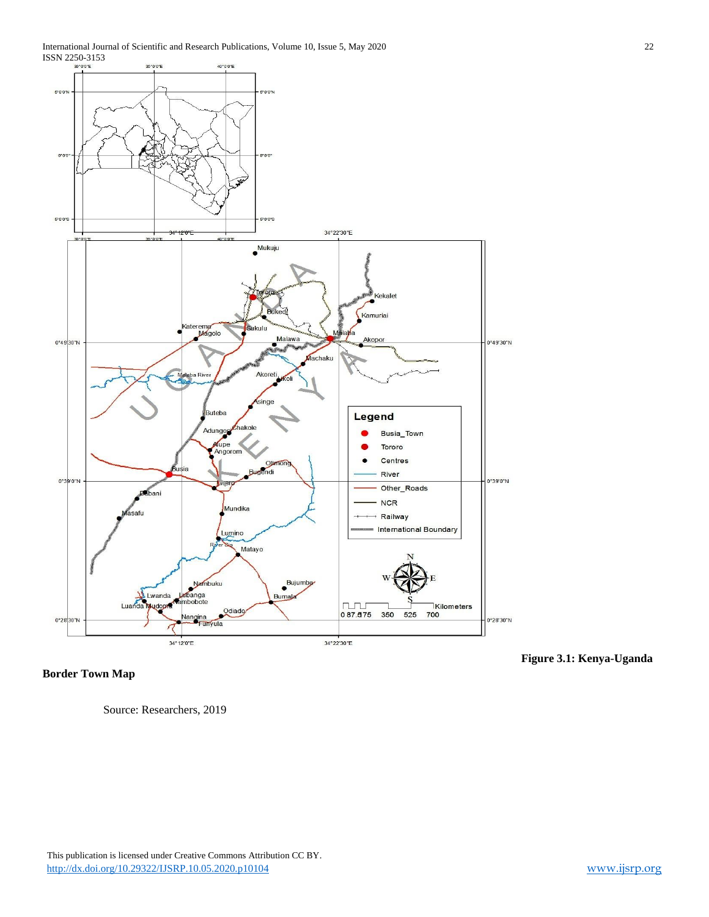

**Border Town Map** 

Source: Researchers, 2019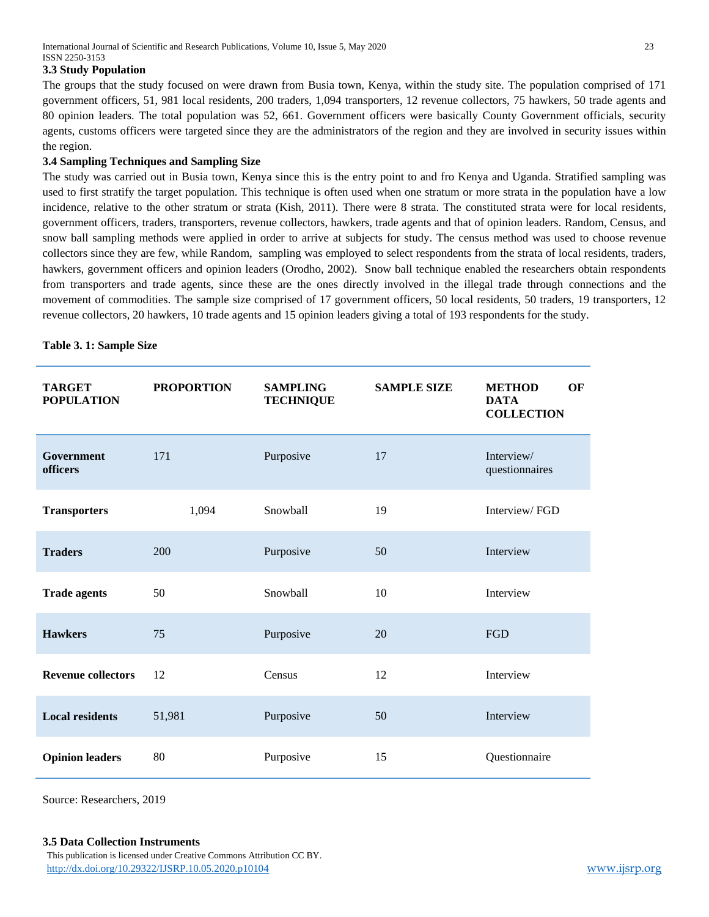International Journal of Scientific and Research Publications, Volume 10, Issue 5, May 2020 23 ISSN 2250-3153

#### **3.3 Study Population**

The groups that the study focused on were drawn from Busia town, Kenya, within the study site. The population comprised of 171 government officers, 51, 981 local residents, 200 traders, 1,094 transporters, 12 revenue collectors, 75 hawkers, 50 trade agents and 80 opinion leaders. The total population was 52, 661. Government officers were basically County Government officials, security agents, customs officers were targeted since they are the administrators of the region and they are involved in security issues within the region.

# **3.4 Sampling Techniques and Sampling Size**

The study was carried out in Busia town, Kenya since this is the entry point to and fro Kenya and Uganda. Stratified sampling was used to first stratify the target population. This technique is often used when one stratum or more strata in the population have a low incidence, relative to the other stratum or strata (Kish, 2011). There were 8 strata. The constituted strata were for local residents, government officers, traders, transporters, revenue collectors, hawkers, trade agents and that of opinion leaders. Random, Census, and snow ball sampling methods were applied in order to arrive at subjects for study. The census method was used to choose revenue collectors since they are few, while Random, sampling was employed to select respondents from the strata of local residents, traders, hawkers, government officers and opinion leaders (Orodho, 2002). Snow ball technique enabled the researchers obtain respondents from transporters and trade agents, since these are the ones directly involved in the illegal trade through connections and the movement of commodities. The sample size comprised of 17 government officers, 50 local residents, 50 traders, 19 transporters, 12 revenue collectors, 20 hawkers, 10 trade agents and 15 opinion leaders giving a total of 193 respondents for the study.

|  | Table 3. 1: Sample Size |  |
|--|-------------------------|--|
|  |                         |  |

| <b>TARGET</b><br><b>POPULATION</b> | <b>PROPORTION</b> | <b>SAMPLING</b><br><b>TECHNIQUE</b> | <b>SAMPLE SIZE</b> | <b>METHOD</b><br>OF<br><b>DATA</b><br><b>COLLECTION</b> |
|------------------------------------|-------------------|-------------------------------------|--------------------|---------------------------------------------------------|
| Government<br>officers             | 171               | Purposive                           | 17                 | Interview/<br>questionnaires                            |
| <b>Transporters</b>                | 1,094             | Snowball                            | 19                 | Interview/FGD                                           |
| <b>Traders</b>                     | 200               | Purposive                           | 50                 | Interview                                               |
| <b>Trade agents</b>                | 50                | Snowball                            | 10                 | Interview                                               |
| <b>Hawkers</b>                     | 75                | Purposive                           | 20                 | FGD                                                     |
| <b>Revenue collectors</b>          | 12                | Census                              | 12                 | Interview                                               |
| <b>Local residents</b>             | 51,981            | Purposive                           | 50                 | Interview                                               |
| <b>Opinion leaders</b>             | 80                | Purposive                           | 15                 | Questionnaire                                           |

Source: Researchers, 2019

 This publication is licensed under Creative Commons Attribution CC BY. <http://dx.doi.org/10.29322/IJSRP.10.05.2020.p10104> [www.ijsrp.org](http://ijsrp.org/) **3.5 Data Collection Instruments**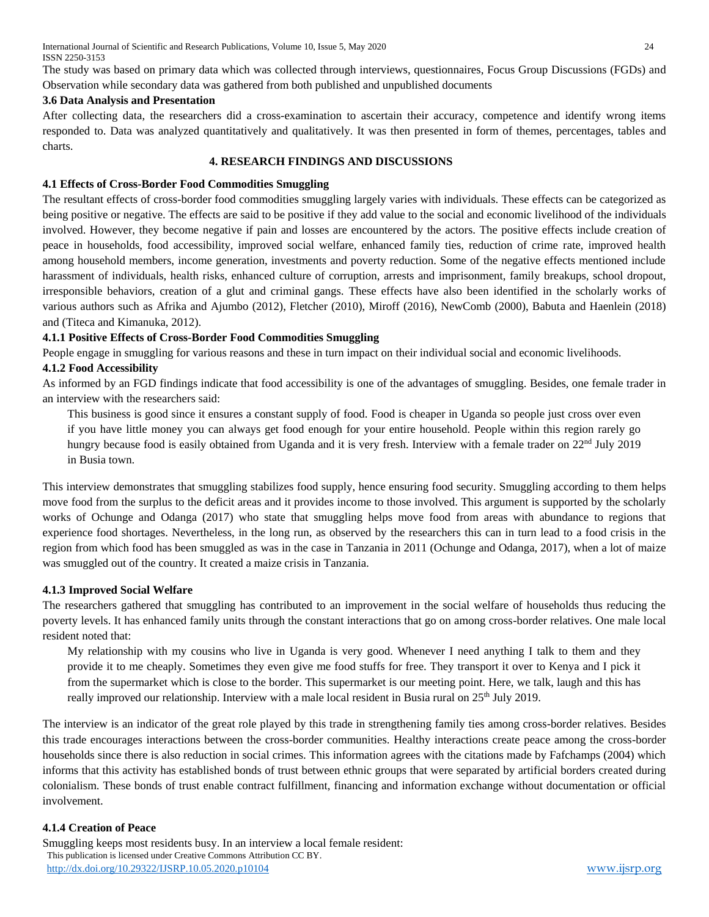International Journal of Scientific and Research Publications, Volume 10, Issue 5, May 2020 24 ISSN 2250-3153

The study was based on primary data which was collected through interviews, questionnaires, Focus Group Discussions (FGDs) and Observation while secondary data was gathered from both published and unpublished documents

# **3.6 Data Analysis and Presentation**

After collecting data, the researchers did a cross-examination to ascertain their accuracy, competence and identify wrong items responded to. Data was analyzed quantitatively and qualitatively. It was then presented in form of themes, percentages, tables and charts.

#### **4. RESEARCH FINDINGS AND DISCUSSIONS**

# **4.1 Effects of Cross-Border Food Commodities Smuggling**

The resultant effects of cross-border food commodities smuggling largely varies with individuals. These effects can be categorized as being positive or negative. The effects are said to be positive if they add value to the social and economic livelihood of the individuals involved. However, they become negative if pain and losses are encountered by the actors. The positive effects include creation of peace in households, food accessibility, improved social welfare, enhanced family ties, reduction of crime rate, improved health among household members, income generation, investments and poverty reduction. Some of the negative effects mentioned include harassment of individuals, health risks, enhanced culture of corruption, arrests and imprisonment, family breakups, school dropout, irresponsible behaviors, creation of a glut and criminal gangs. These effects have also been identified in the scholarly works of various authors such as Afrika and Ajumbo (2012), Fletcher (2010), Miroff (2016), NewComb (2000), Babuta and Haenlein (2018) and (Titeca and Kimanuka, 2012).

# **4.1.1 Positive Effects of Cross-Border Food Commodities Smuggling**

People engage in smuggling for various reasons and these in turn impact on their individual social and economic livelihoods.

# **4.1.2 Food Accessibility**

As informed by an FGD findings indicate that food accessibility is one of the advantages of smuggling. Besides, one female trader in an interview with the researchers said:

This business is good since it ensures a constant supply of food. Food is cheaper in Uganda so people just cross over even if you have little money you can always get food enough for your entire household. People within this region rarely go hungry because food is easily obtained from Uganda and it is very fresh. Interview with a female trader on 22<sup>nd</sup> July 2019 in Busia town.

This interview demonstrates that smuggling stabilizes food supply, hence ensuring food security. Smuggling according to them helps move food from the surplus to the deficit areas and it provides income to those involved. This argument is supported by the scholarly works of Ochunge and Odanga (2017) who state that smuggling helps move food from areas with abundance to regions that experience food shortages. Nevertheless, in the long run, as observed by the researchers this can in turn lead to a food crisis in the region from which food has been smuggled as was in the case in Tanzania in 2011 (Ochunge and Odanga, 2017), when a lot of maize was smuggled out of the country. It created a maize crisis in Tanzania.

# **4.1.3 Improved Social Welfare**

The researchers gathered that smuggling has contributed to an improvement in the social welfare of households thus reducing the poverty levels. It has enhanced family units through the constant interactions that go on among cross-border relatives. One male local resident noted that:

My relationship with my cousins who live in Uganda is very good. Whenever I need anything I talk to them and they provide it to me cheaply. Sometimes they even give me food stuffs for free. They transport it over to Kenya and I pick it from the supermarket which is close to the border. This supermarket is our meeting point. Here, we talk, laugh and this has really improved our relationship. Interview with a male local resident in Busia rural on 25<sup>th</sup> July 2019.

The interview is an indicator of the great role played by this trade in strengthening family ties among cross-border relatives. Besides this trade encourages interactions between the cross-border communities. Healthy interactions create peace among the cross-border households since there is also reduction in social crimes. This information agrees with the citations made by Fafchamps (2004) which informs that this activity has established bonds of trust between ethnic groups that were separated by artificial borders created during colonialism. These bonds of trust enable contract fulfillment, financing and information exchange without documentation or official involvement.

# **4.1.4 Creation of Peace**

 This publication is licensed under Creative Commons Attribution CC BY. <http://dx.doi.org/10.29322/IJSRP.10.05.2020.p10104> [www.ijsrp.org](http://ijsrp.org/) Smuggling keeps most residents busy. In an interview a local female resident: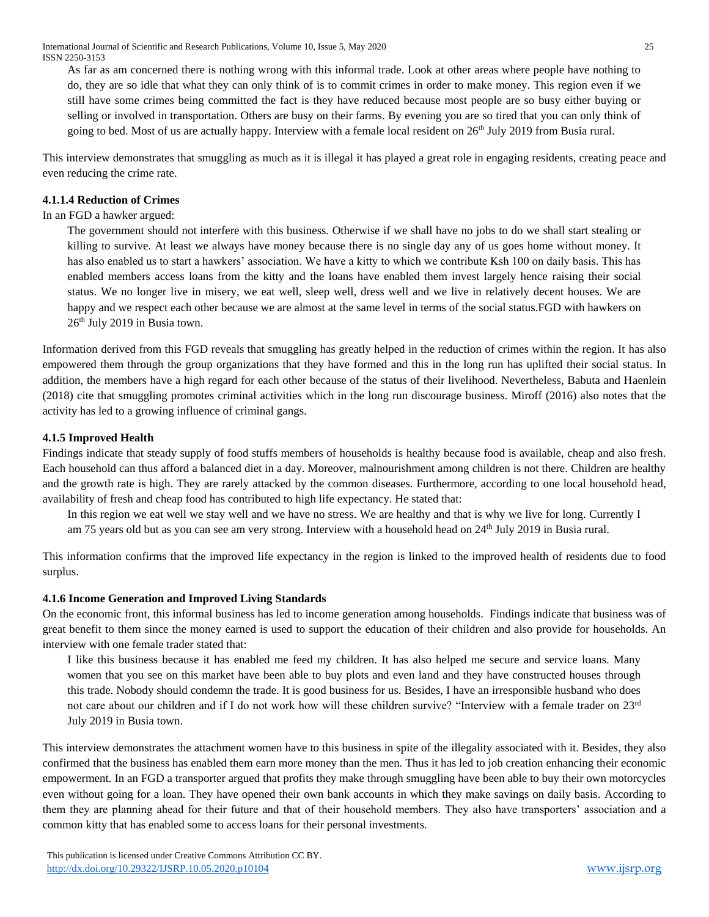As far as am concerned there is nothing wrong with this informal trade. Look at other areas where people have nothing to do, they are so idle that what they can only think of is to commit crimes in order to make money. This region even if we still have some crimes being committed the fact is they have reduced because most people are so busy either buying or selling or involved in transportation. Others are busy on their farms. By evening you are so tired that you can only think of going to bed. Most of us are actually happy. Interview with a female local resident on  $26<sup>th</sup>$  July 2019 from Busia rural.

This interview demonstrates that smuggling as much as it is illegal it has played a great role in engaging residents, creating peace and even reducing the crime rate.

# **4.1.1.4 Reduction of Crimes**

In an FGD a hawker argued:

The government should not interfere with this business. Otherwise if we shall have no jobs to do we shall start stealing or killing to survive. At least we always have money because there is no single day any of us goes home without money. It has also enabled us to start a hawkers' association. We have a kitty to which we contribute Ksh 100 on daily basis. This has enabled members access loans from the kitty and the loans have enabled them invest largely hence raising their social status. We no longer live in misery, we eat well, sleep well, dress well and we live in relatively decent houses. We are happy and we respect each other because we are almost at the same level in terms of the social status.FGD with hawkers on 26th July 2019 in Busia town.

Information derived from this FGD reveals that smuggling has greatly helped in the reduction of crimes within the region. It has also empowered them through the group organizations that they have formed and this in the long run has uplifted their social status. In addition, the members have a high regard for each other because of the status of their livelihood. Nevertheless, Babuta and Haenlein (2018) cite that smuggling promotes criminal activities which in the long run discourage business. Miroff (2016) also notes that the activity has led to a growing influence of criminal gangs.

# **4.1.5 Improved Health**

Findings indicate that steady supply of food stuffs members of households is healthy because food is available, cheap and also fresh. Each household can thus afford a balanced diet in a day. Moreover, malnourishment among children is not there. Children are healthy and the growth rate is high. They are rarely attacked by the common diseases. Furthermore, according to one local household head, availability of fresh and cheap food has contributed to high life expectancy. He stated that:

In this region we eat well we stay well and we have no stress. We are healthy and that is why we live for long. Currently I am 75 years old but as you can see am very strong. Interview with a household head on 24<sup>th</sup> July 2019 in Busia rural.

This information confirms that the improved life expectancy in the region is linked to the improved health of residents due to food surplus.

# **4.1.6 Income Generation and Improved Living Standards**

On the economic front, this informal business has led to income generation among households. Findings indicate that business was of great benefit to them since the money earned is used to support the education of their children and also provide for households. An interview with one female trader stated that:

I like this business because it has enabled me feed my children. It has also helped me secure and service loans. Many women that you see on this market have been able to buy plots and even land and they have constructed houses through this trade. Nobody should condemn the trade. It is good business for us. Besides, I have an irresponsible husband who does not care about our children and if I do not work how will these children survive? "Interview with a female trader on 23<sup>rd</sup> July 2019 in Busia town.

This interview demonstrates the attachment women have to this business in spite of the illegality associated with it. Besides, they also confirmed that the business has enabled them earn more money than the men. Thus it has led to job creation enhancing their economic empowerment. In an FGD a transporter argued that profits they make through smuggling have been able to buy their own motorcycles even without going for a loan. They have opened their own bank accounts in which they make savings on daily basis. According to them they are planning ahead for their future and that of their household members. They also have transporters' association and a common kitty that has enabled some to access loans for their personal investments.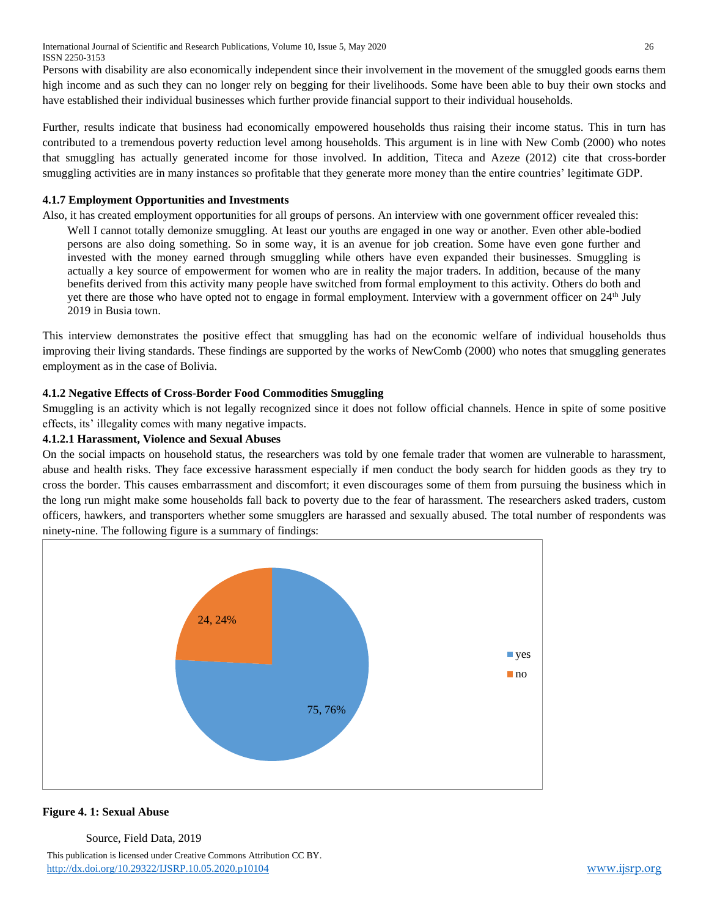International Journal of Scientific and Research Publications, Volume 10, Issue 5, May 2020 26 ISSN 2250-3153

Persons with disability are also economically independent since their involvement in the movement of the smuggled goods earns them high income and as such they can no longer rely on begging for their livelihoods. Some have been able to buy their own stocks and have established their individual businesses which further provide financial support to their individual households.

Further, results indicate that business had economically empowered households thus raising their income status. This in turn has contributed to a tremendous poverty reduction level among households. This argument is in line with New Comb (2000) who notes that smuggling has actually generated income for those involved. In addition, Titeca and Azeze (2012) cite that cross-border smuggling activities are in many instances so profitable that they generate more money than the entire countries' legitimate GDP.

# **4.1.7 Employment Opportunities and Investments**

Also, it has created employment opportunities for all groups of persons. An interview with one government officer revealed this: Well I cannot totally demonize smuggling. At least our youths are engaged in one way or another. Even other able-bodied persons are also doing something. So in some way, it is an avenue for job creation. Some have even gone further and invested with the money earned through smuggling while others have even expanded their businesses. Smuggling is actually a key source of empowerment for women who are in reality the major traders. In addition, because of the many benefits derived from this activity many people have switched from formal employment to this activity. Others do both and yet there are those who have opted not to engage in formal employment. Interview with a government officer on  $24<sup>th</sup>$  July 2019 in Busia town.

This interview demonstrates the positive effect that smuggling has had on the economic welfare of individual households thus improving their living standards. These findings are supported by the works of NewComb (2000) who notes that smuggling generates employment as in the case of Bolivia.

# **4.1.2 Negative Effects of Cross-Border Food Commodities Smuggling**

Smuggling is an activity which is not legally recognized since it does not follow official channels. Hence in spite of some positive effects, its' illegality comes with many negative impacts.

# **4.1.2.1 Harassment, Violence and Sexual Abuses**

On the social impacts on household status, the researchers was told by one female trader that women are vulnerable to harassment, abuse and health risks. They face excessive harassment especially if men conduct the body search for hidden goods as they try to cross the border. This causes embarrassment and discomfort; it even discourages some of them from pursuing the business which in the long run might make some households fall back to poverty due to the fear of harassment. The researchers asked traders, custom officers, hawkers, and transporters whether some smugglers are harassed and sexually abused. The total number of respondents was ninety-nine. The following figure is a summary of findings:



#### **Figure 4. 1: Sexual Abuse**

Source, Field Data, 2019

 This publication is licensed under Creative Commons Attribution CC BY. <http://dx.doi.org/10.29322/IJSRP.10.05.2020.p10104> [www.ijsrp.org](http://ijsrp.org/)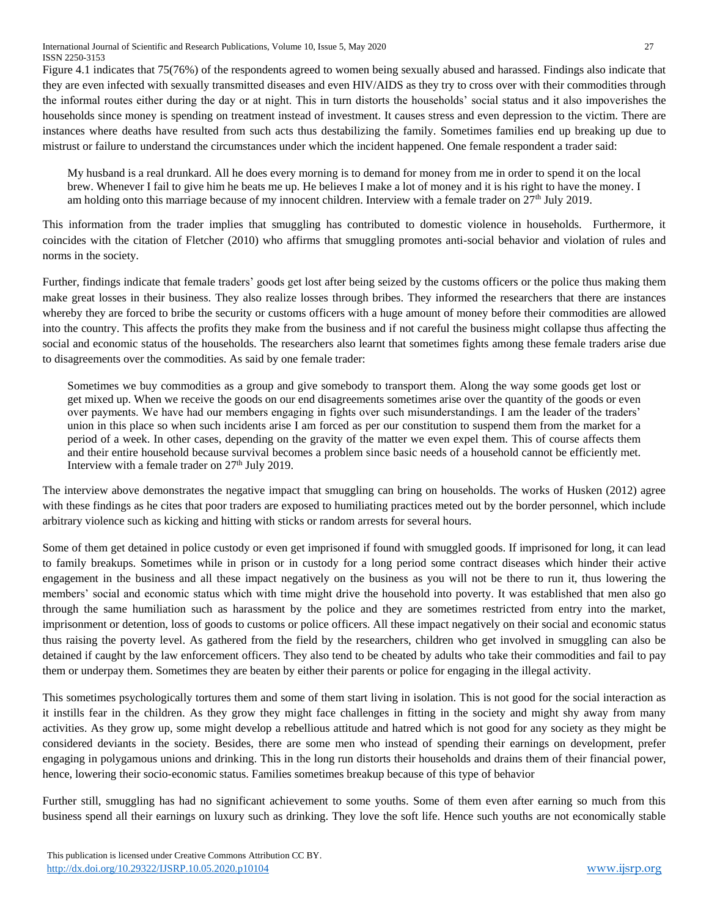Figure 4.1 indicates that 75(76%) of the respondents agreed to women being sexually abused and harassed. Findings also indicate that they are even infected with sexually transmitted diseases and even HIV/AIDS as they try to cross over with their commodities through the informal routes either during the day or at night. This in turn distorts the households' social status and it also impoverishes the households since money is spending on treatment instead of investment. It causes stress and even depression to the victim. There are instances where deaths have resulted from such acts thus destabilizing the family. Sometimes families end up breaking up due to mistrust or failure to understand the circumstances under which the incident happened. One female respondent a trader said:

My husband is a real drunkard. All he does every morning is to demand for money from me in order to spend it on the local brew. Whenever I fail to give him he beats me up. He believes I make a lot of money and it is his right to have the money. I am holding onto this marriage because of my innocent children. Interview with a female trader on  $27<sup>th</sup>$  July 2019.

This information from the trader implies that smuggling has contributed to domestic violence in households. Furthermore, it coincides with the citation of Fletcher (2010) who affirms that smuggling promotes anti-social behavior and violation of rules and norms in the society.

Further, findings indicate that female traders' goods get lost after being seized by the customs officers or the police thus making them make great losses in their business. They also realize losses through bribes. They informed the researchers that there are instances whereby they are forced to bribe the security or customs officers with a huge amount of money before their commodities are allowed into the country. This affects the profits they make from the business and if not careful the business might collapse thus affecting the social and economic status of the households. The researchers also learnt that sometimes fights among these female traders arise due to disagreements over the commodities. As said by one female trader:

Sometimes we buy commodities as a group and give somebody to transport them. Along the way some goods get lost or get mixed up. When we receive the goods on our end disagreements sometimes arise over the quantity of the goods or even over payments. We have had our members engaging in fights over such misunderstandings. I am the leader of the traders' union in this place so when such incidents arise I am forced as per our constitution to suspend them from the market for a period of a week. In other cases, depending on the gravity of the matter we even expel them. This of course affects them and their entire household because survival becomes a problem since basic needs of a household cannot be efficiently met. Interview with a female trader on  $27<sup>th</sup>$  July 2019.

The interview above demonstrates the negative impact that smuggling can bring on households. The works of Husken (2012) agree with these findings as he cites that poor traders are exposed to humiliating practices meted out by the border personnel, which include arbitrary violence such as kicking and hitting with sticks or random arrests for several hours.

Some of them get detained in police custody or even get imprisoned if found with smuggled goods. If imprisoned for long, it can lead to family breakups. Sometimes while in prison or in custody for a long period some contract diseases which hinder their active engagement in the business and all these impact negatively on the business as you will not be there to run it, thus lowering the members' social and economic status which with time might drive the household into poverty. It was established that men also go through the same humiliation such as harassment by the police and they are sometimes restricted from entry into the market, imprisonment or detention, loss of goods to customs or police officers. All these impact negatively on their social and economic status thus raising the poverty level. As gathered from the field by the researchers, children who get involved in smuggling can also be detained if caught by the law enforcement officers. They also tend to be cheated by adults who take their commodities and fail to pay them or underpay them. Sometimes they are beaten by either their parents or police for engaging in the illegal activity.

This sometimes psychologically tortures them and some of them start living in isolation. This is not good for the social interaction as it instills fear in the children. As they grow they might face challenges in fitting in the society and might shy away from many activities. As they grow up, some might develop a rebellious attitude and hatred which is not good for any society as they might be considered deviants in the society. Besides, there are some men who instead of spending their earnings on development, prefer engaging in polygamous unions and drinking. This in the long run distorts their households and drains them of their financial power, hence, lowering their socio-economic status. Families sometimes breakup because of this type of behavior

Further still, smuggling has had no significant achievement to some youths. Some of them even after earning so much from this business spend all their earnings on luxury such as drinking. They love the soft life. Hence such youths are not economically stable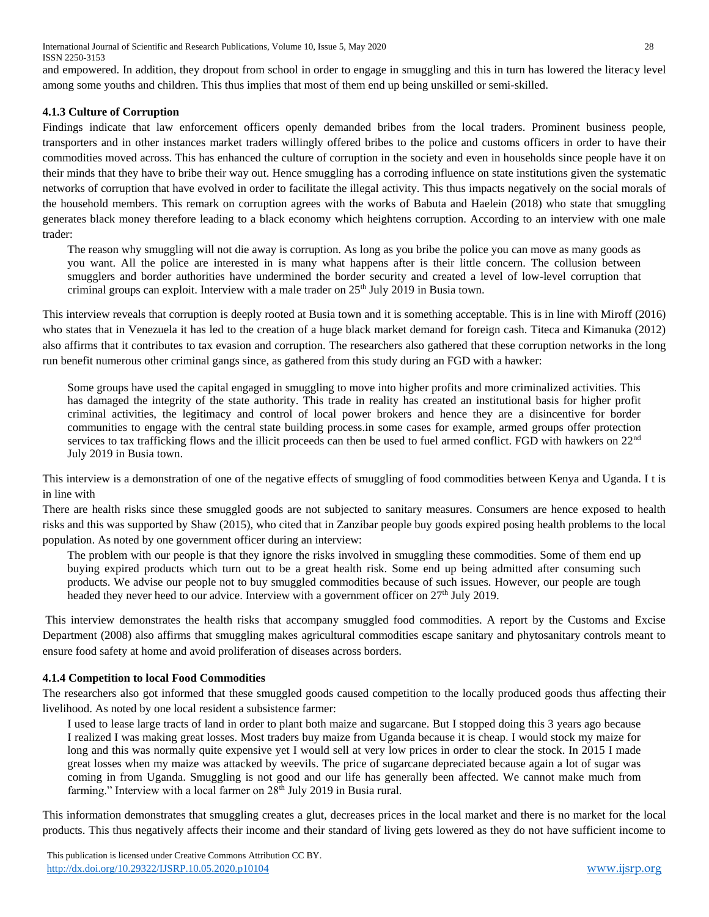International Journal of Scientific and Research Publications, Volume 10, Issue 5, May 2020 28 ISSN 2250-3153

and empowered. In addition, they dropout from school in order to engage in smuggling and this in turn has lowered the literacy level among some youths and children. This thus implies that most of them end up being unskilled or semi-skilled.

# **4.1.3 Culture of Corruption**

Findings indicate that law enforcement officers openly demanded bribes from the local traders. Prominent business people, transporters and in other instances market traders willingly offered bribes to the police and customs officers in order to have their commodities moved across. This has enhanced the culture of corruption in the society and even in households since people have it on their minds that they have to bribe their way out. Hence smuggling has a corroding influence on state institutions given the systematic networks of corruption that have evolved in order to facilitate the illegal activity. This thus impacts negatively on the social morals of the household members. This remark on corruption agrees with the works of Babuta and Haelein (2018) who state that smuggling generates black money therefore leading to a black economy which heightens corruption. According to an interview with one male trader:

The reason why smuggling will not die away is corruption. As long as you bribe the police you can move as many goods as you want. All the police are interested in is many what happens after is their little concern. The collusion between smugglers and border authorities have undermined the border security and created a level of low-level corruption that criminal groups can exploit. Interview with a male trader on  $25<sup>th</sup>$  July 2019 in Busia town.

This interview reveals that corruption is deeply rooted at Busia town and it is something acceptable. This is in line with Miroff (2016) who states that in Venezuela it has led to the creation of a huge black market demand for foreign cash. Titeca and Kimanuka (2012) also affirms that it contributes to tax evasion and corruption. The researchers also gathered that these corruption networks in the long run benefit numerous other criminal gangs since, as gathered from this study during an FGD with a hawker:

Some groups have used the capital engaged in smuggling to move into higher profits and more criminalized activities. This has damaged the integrity of the state authority. This trade in reality has created an institutional basis for higher profit criminal activities, the legitimacy and control of local power brokers and hence they are a disincentive for border communities to engage with the central state building process.in some cases for example, armed groups offer protection services to tax trafficking flows and the illicit proceeds can then be used to fuel armed conflict. FGD with hawkers on  $22<sup>nd</sup>$ July 2019 in Busia town.

This interview is a demonstration of one of the negative effects of smuggling of food commodities between Kenya and Uganda. I t is in line with

There are health risks since these smuggled goods are not subjected to sanitary measures. Consumers are hence exposed to health risks and this was supported by Shaw (2015), who cited that in Zanzibar people buy goods expired posing health problems to the local population. As noted by one government officer during an interview:

The problem with our people is that they ignore the risks involved in smuggling these commodities. Some of them end up buying expired products which turn out to be a great health risk. Some end up being admitted after consuming such products. We advise our people not to buy smuggled commodities because of such issues. However, our people are tough headed they never heed to our advice. Interview with a government officer on 27<sup>th</sup> July 2019.

This interview demonstrates the health risks that accompany smuggled food commodities. A report by the Customs and Excise Department (2008) also affirms that smuggling makes agricultural commodities escape sanitary and phytosanitary controls meant to ensure food safety at home and avoid proliferation of diseases across borders.

#### **4.1.4 Competition to local Food Commodities**

The researchers also got informed that these smuggled goods caused competition to the locally produced goods thus affecting their livelihood. As noted by one local resident a subsistence farmer:

I used to lease large tracts of land in order to plant both maize and sugarcane. But I stopped doing this 3 years ago because I realized I was making great losses. Most traders buy maize from Uganda because it is cheap. I would stock my maize for long and this was normally quite expensive yet I would sell at very low prices in order to clear the stock. In 2015 I made great losses when my maize was attacked by weevils. The price of sugarcane depreciated because again a lot of sugar was coming in from Uganda. Smuggling is not good and our life has generally been affected. We cannot make much from farming." Interview with a local farmer on 28<sup>th</sup> July 2019 in Busia rural.

This information demonstrates that smuggling creates a glut, decreases prices in the local market and there is no market for the local products. This thus negatively affects their income and their standard of living gets lowered as they do not have sufficient income to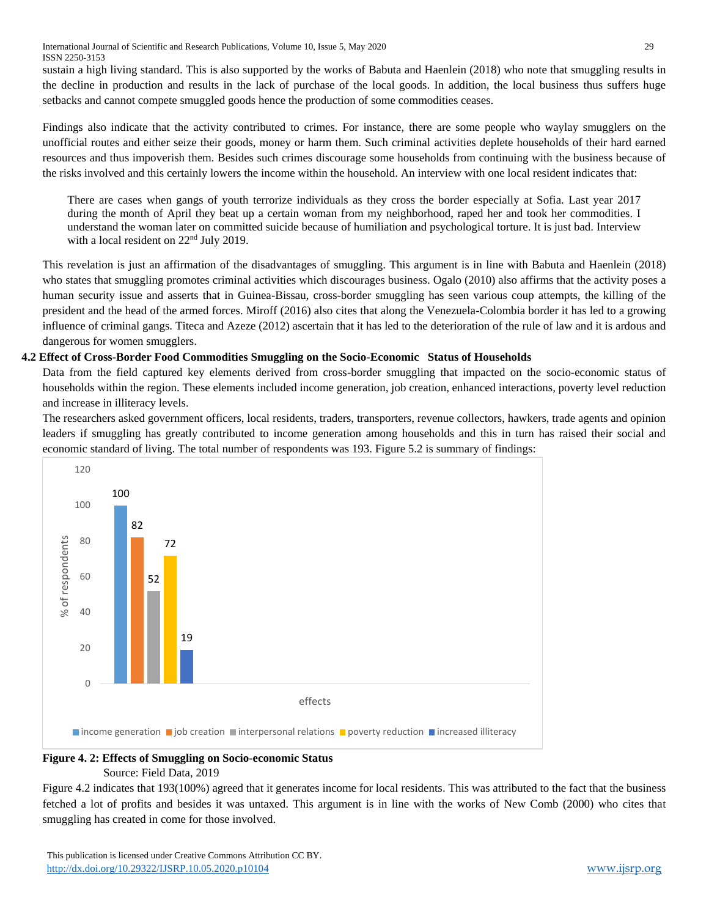International Journal of Scientific and Research Publications, Volume 10, Issue 5, May 2020 29 ISSN 2250-3153

sustain a high living standard. This is also supported by the works of Babuta and Haenlein (2018) who note that smuggling results in the decline in production and results in the lack of purchase of the local goods. In addition, the local business thus suffers huge setbacks and cannot compete smuggled goods hence the production of some commodities ceases.

Findings also indicate that the activity contributed to crimes. For instance, there are some people who waylay smugglers on the unofficial routes and either seize their goods, money or harm them. Such criminal activities deplete households of their hard earned resources and thus impoverish them. Besides such crimes discourage some households from continuing with the business because of the risks involved and this certainly lowers the income within the household. An interview with one local resident indicates that:

There are cases when gangs of youth terrorize individuals as they cross the border especially at Sofia. Last year 2017 during the month of April they beat up a certain woman from my neighborhood, raped her and took her commodities. I understand the woman later on committed suicide because of humiliation and psychological torture. It is just bad. Interview with a local resident on 22nd July 2019.

This revelation is just an affirmation of the disadvantages of smuggling. This argument is in line with Babuta and Haenlein (2018) who states that smuggling promotes criminal activities which discourages business. Ogalo (2010) also affirms that the activity poses a human security issue and asserts that in Guinea-Bissau, cross-border smuggling has seen various coup attempts, the killing of the president and the head of the armed forces. Miroff (2016) also cites that along the Venezuela-Colombia border it has led to a growing influence of criminal gangs. Titeca and Azeze (2012) ascertain that it has led to the deterioration of the rule of law and it is ardous and dangerous for women smugglers.

# **4.2 Effect of Cross-Border Food Commodities Smuggling on the Socio-Economic Status of Households**

Data from the field captured key elements derived from cross-border smuggling that impacted on the socio-economic status of households within the region. These elements included income generation, job creation, enhanced interactions, poverty level reduction and increase in illiteracy levels.

The researchers asked government officers, local residents, traders, transporters, revenue collectors, hawkers, trade agents and opinion leaders if smuggling has greatly contributed to income generation among households and this in turn has raised their social and economic standard of living. The total number of respondents was 193. Figure 5.2 is summary of findings:



**Figure 4. 2: Effects of Smuggling on Socio-economic Status** 

Source: Field Data, 2019

Figure 4.2 indicates that 193(100%) agreed that it generates income for local residents. This was attributed to the fact that the business fetched a lot of profits and besides it was untaxed. This argument is in line with the works of New Comb (2000) who cites that smuggling has created in come for those involved.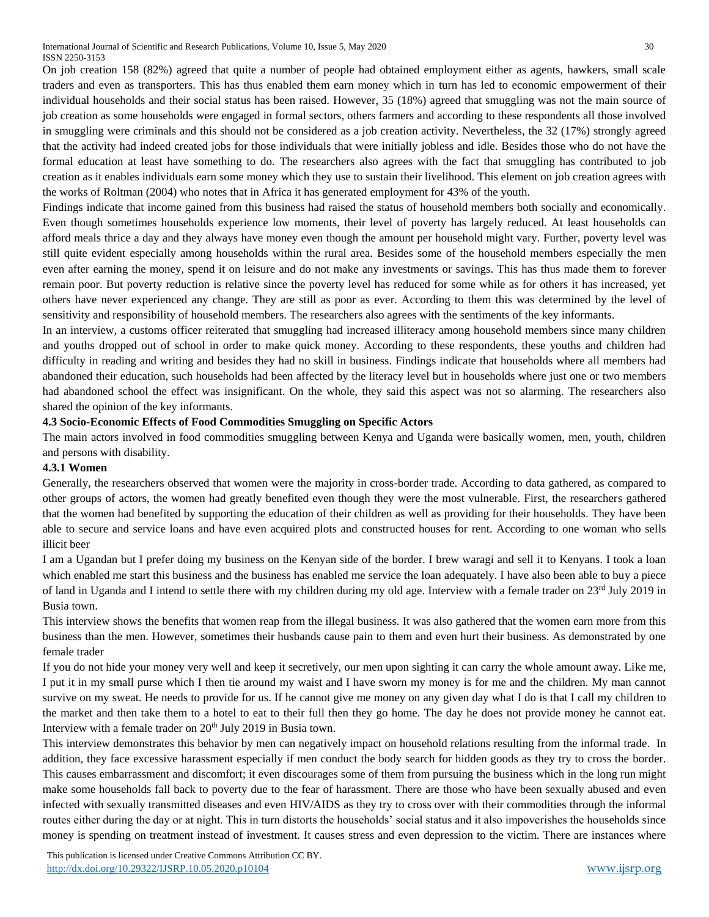On job creation 158 (82%) agreed that quite a number of people had obtained employment either as agents, hawkers, small scale traders and even as transporters. This has thus enabled them earn money which in turn has led to economic empowerment of their individual households and their social status has been raised. However, 35 (18%) agreed that smuggling was not the main source of job creation as some households were engaged in formal sectors, others farmers and according to these respondents all those involved in smuggling were criminals and this should not be considered as a job creation activity. Nevertheless, the 32 (17%) strongly agreed that the activity had indeed created jobs for those individuals that were initially jobless and idle. Besides those who do not have the formal education at least have something to do. The researchers also agrees with the fact that smuggling has contributed to job creation as it enables individuals earn some money which they use to sustain their livelihood. This element on job creation agrees with the works of Roltman (2004) who notes that in Africa it has generated employment for 43% of the youth.

Findings indicate that income gained from this business had raised the status of household members both socially and economically. Even though sometimes households experience low moments, their level of poverty has largely reduced. At least households can afford meals thrice a day and they always have money even though the amount per household might vary. Further, poverty level was still quite evident especially among households within the rural area. Besides some of the household members especially the men even after earning the money, spend it on leisure and do not make any investments or savings. This has thus made them to forever remain poor. But poverty reduction is relative since the poverty level has reduced for some while as for others it has increased, yet others have never experienced any change. They are still as poor as ever. According to them this was determined by the level of sensitivity and responsibility of household members. The researchers also agrees with the sentiments of the key informants.

In an interview, a customs officer reiterated that smuggling had increased illiteracy among household members since many children and youths dropped out of school in order to make quick money. According to these respondents, these youths and children had difficulty in reading and writing and besides they had no skill in business. Findings indicate that households where all members had abandoned their education, such households had been affected by the literacy level but in households where just one or two members had abandoned school the effect was insignificant. On the whole, they said this aspect was not so alarming. The researchers also shared the opinion of the key informants.

# **4.3 Socio-Economic Effects of Food Commodities Smuggling on Specific Actors**

The main actors involved in food commodities smuggling between Kenya and Uganda were basically women, men, youth, children and persons with disability.

# **4.3.1 Women**

Generally, the researchers observed that women were the majority in cross-border trade. According to data gathered, as compared to other groups of actors, the women had greatly benefited even though they were the most vulnerable. First, the researchers gathered that the women had benefited by supporting the education of their children as well as providing for their households. They have been able to secure and service loans and have even acquired plots and constructed houses for rent. According to one woman who sells illicit beer

I am a Ugandan but I prefer doing my business on the Kenyan side of the border. I brew waragi and sell it to Kenyans. I took a loan which enabled me start this business and the business has enabled me service the loan adequately. I have also been able to buy a piece of land in Uganda and I intend to settle there with my children during my old age. Interview with a female trader on  $23<sup>rd</sup>$  July 2019 in Busia town.

This interview shows the benefits that women reap from the illegal business. It was also gathered that the women earn more from this business than the men. However, sometimes their husbands cause pain to them and even hurt their business. As demonstrated by one female trader

If you do not hide your money very well and keep it secretively, our men upon sighting it can carry the whole amount away. Like me, I put it in my small purse which I then tie around my waist and I have sworn my money is for me and the children. My man cannot survive on my sweat. He needs to provide for us. If he cannot give me money on any given day what I do is that I call my children to the market and then take them to a hotel to eat to their full then they go home. The day he does not provide money he cannot eat. Interview with a female trader on 20<sup>th</sup> July 2019 in Busia town.

This interview demonstrates this behavior by men can negatively impact on household relations resulting from the informal trade. In addition, they face excessive harassment especially if men conduct the body search for hidden goods as they try to cross the border. This causes embarrassment and discomfort; it even discourages some of them from pursuing the business which in the long run might make some households fall back to poverty due to the fear of harassment. There are those who have been sexually abused and even infected with sexually transmitted diseases and even HIV/AIDS as they try to cross over with their commodities through the informal routes either during the day or at night. This in turn distorts the households' social status and it also impoverishes the households since money is spending on treatment instead of investment. It causes stress and even depression to the victim. There are instances where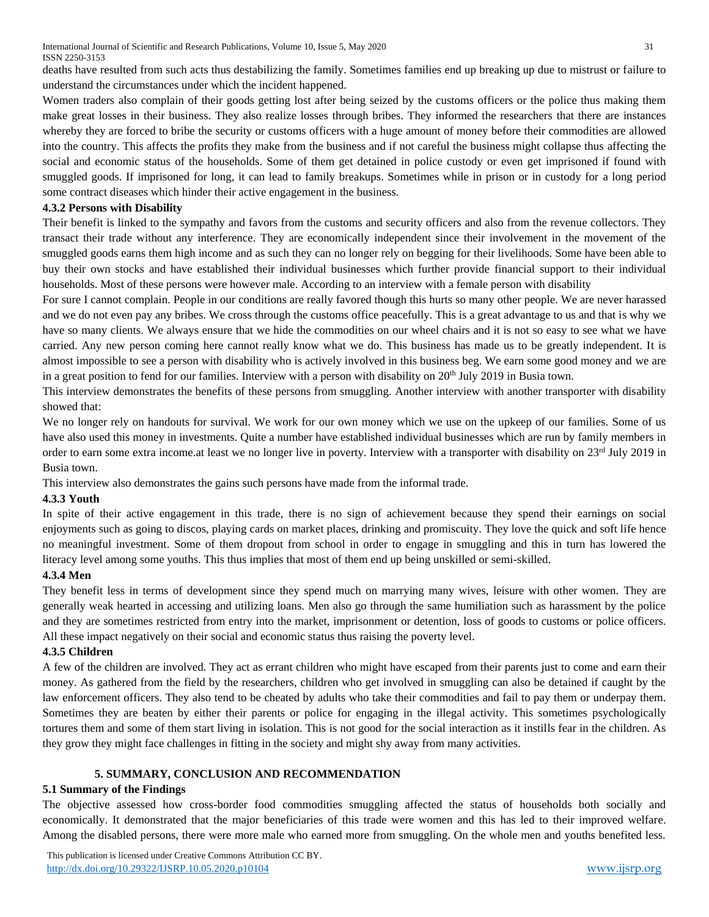deaths have resulted from such acts thus destabilizing the family. Sometimes families end up breaking up due to mistrust or failure to understand the circumstances under which the incident happened.

Women traders also complain of their goods getting lost after being seized by the customs officers or the police thus making them make great losses in their business. They also realize losses through bribes. They informed the researchers that there are instances whereby they are forced to bribe the security or customs officers with a huge amount of money before their commodities are allowed into the country. This affects the profits they make from the business and if not careful the business might collapse thus affecting the social and economic status of the households. Some of them get detained in police custody or even get imprisoned if found with smuggled goods. If imprisoned for long, it can lead to family breakups. Sometimes while in prison or in custody for a long period some contract diseases which hinder their active engagement in the business.

# **4.3.2 Persons with Disability**

Their benefit is linked to the sympathy and favors from the customs and security officers and also from the revenue collectors. They transact their trade without any interference. They are economically independent since their involvement in the movement of the smuggled goods earns them high income and as such they can no longer rely on begging for their livelihoods. Some have been able to buy their own stocks and have established their individual businesses which further provide financial support to their individual households. Most of these persons were however male. According to an interview with a female person with disability

For sure I cannot complain. People in our conditions are really favored though this hurts so many other people. We are never harassed and we do not even pay any bribes. We cross through the customs office peacefully. This is a great advantage to us and that is why we have so many clients. We always ensure that we hide the commodities on our wheel chairs and it is not so easy to see what we have carried. Any new person coming here cannot really know what we do. This business has made us to be greatly independent. It is almost impossible to see a person with disability who is actively involved in this business beg. We earn some good money and we are in a great position to fend for our families. Interview with a person with disability on  $20<sup>th</sup>$  July 2019 in Busia town.

This interview demonstrates the benefits of these persons from smuggling. Another interview with another transporter with disability showed that:

We no longer rely on handouts for survival. We work for our own money which we use on the upkeep of our families. Some of us have also used this money in investments. Quite a number have established individual businesses which are run by family members in order to earn some extra income.at least we no longer live in poverty. Interview with a transporter with disability on 23<sup>rd</sup> July 2019 in Busia town.

This interview also demonstrates the gains such persons have made from the informal trade.

#### **4.3.3 Youth**

In spite of their active engagement in this trade, there is no sign of achievement because they spend their earnings on social enjoyments such as going to discos, playing cards on market places, drinking and promiscuity. They love the quick and soft life hence no meaningful investment. Some of them dropout from school in order to engage in smuggling and this in turn has lowered the literacy level among some youths. This thus implies that most of them end up being unskilled or semi-skilled.

# **4.3.4 Men**

They benefit less in terms of development since they spend much on marrying many wives, leisure with other women. They are generally weak hearted in accessing and utilizing loans. Men also go through the same humiliation such as harassment by the police and they are sometimes restricted from entry into the market, imprisonment or detention, loss of goods to customs or police officers. All these impact negatively on their social and economic status thus raising the poverty level.

# **4.3.5 Children**

A few of the children are involved. They act as errant children who might have escaped from their parents just to come and earn their money. As gathered from the field by the researchers, children who get involved in smuggling can also be detained if caught by the law enforcement officers. They also tend to be cheated by adults who take their commodities and fail to pay them or underpay them. Sometimes they are beaten by either their parents or police for engaging in the illegal activity. This sometimes psychologically tortures them and some of them start living in isolation. This is not good for the social interaction as it instills fear in the children. As they grow they might face challenges in fitting in the society and might shy away from many activities.

# **5. SUMMARY, CONCLUSION AND RECOMMENDATION**

#### **5.1 Summary of the Findings**

The objective assessed how cross-border food commodities smuggling affected the status of households both socially and economically. It demonstrated that the major beneficiaries of this trade were women and this has led to their improved welfare. Among the disabled persons, there were more male who earned more from smuggling. On the whole men and youths benefited less.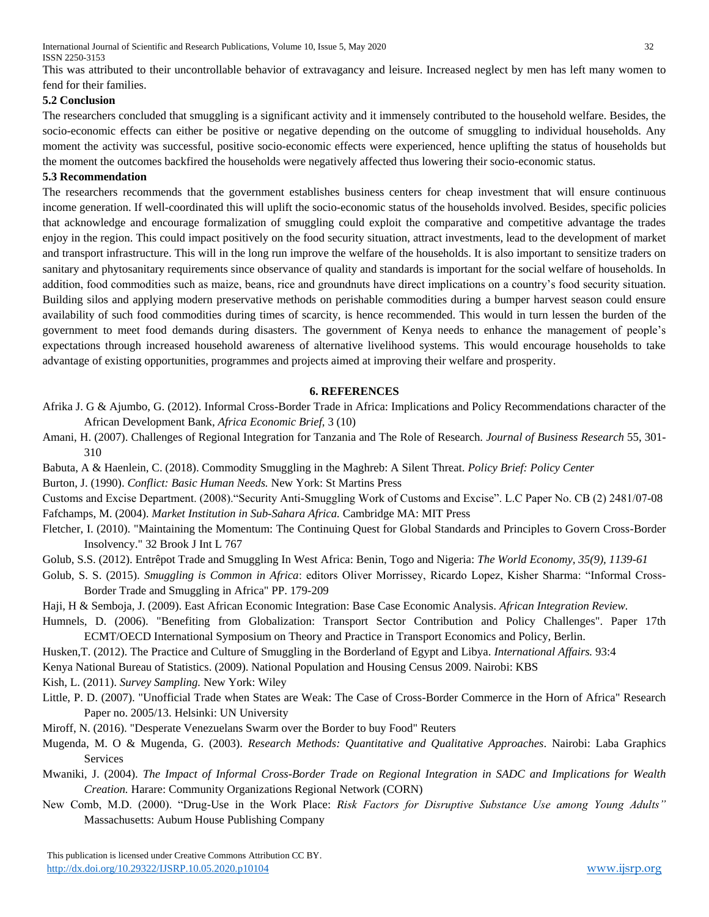This was attributed to their uncontrollable behavior of extravagancy and leisure. Increased neglect by men has left many women to fend for their families.

# **5.2 Conclusion**

The researchers concluded that smuggling is a significant activity and it immensely contributed to the household welfare. Besides, the socio-economic effects can either be positive or negative depending on the outcome of smuggling to individual households. Any moment the activity was successful, positive socio-economic effects were experienced, hence uplifting the status of households but the moment the outcomes backfired the households were negatively affected thus lowering their socio-economic status.

#### **5.3 Recommendation**

The researchers recommends that the government establishes business centers for cheap investment that will ensure continuous income generation. If well-coordinated this will uplift the socio-economic status of the households involved. Besides, specific policies that acknowledge and encourage formalization of smuggling could exploit the comparative and competitive advantage the trades enjoy in the region. This could impact positively on the food security situation, attract investments, lead to the development of market and transport infrastructure. This will in the long run improve the welfare of the households. It is also important to sensitize traders on sanitary and phytosanitary requirements since observance of quality and standards is important for the social welfare of households. In addition, food commodities such as maize, beans, rice and groundnuts have direct implications on a country's food security situation. Building silos and applying modern preservative methods on perishable commodities during a bumper harvest season could ensure availability of such food commodities during times of scarcity, is hence recommended. This would in turn lessen the burden of the government to meet food demands during disasters. The government of Kenya needs to enhance the management of people's expectations through increased household awareness of alternative livelihood systems. This would encourage households to take advantage of existing opportunities, programmes and projects aimed at improving their welfare and prosperity.

# **6. REFERENCES**

- Afrika J. G & Ajumbo, G. (2012). Informal Cross-Border Trade in Africa: Implications and Policy Recommendations character of the African Development Bank*, Africa Economic Brief,* 3 (10)
- Amani, H. (2007). Challenges of Regional Integration for Tanzania and The Role of Research. *Journal of Business Research* 55, 301- 310
- Babuta, A & Haenlein, C. (2018). Commodity Smuggling in the Maghreb: A Silent Threat. *Policy Brief: Policy Center*

Burton, J. (1990). *Conflict: Basic Human Needs.* New York: St Martins Press

Customs and Excise Department. (2008)."Security Anti-Smuggling Work of Customs and Excise". L.C Paper No. CB (2) 2481/07-08 Fafchamps, M. (2004). *Market Institution in Sub-Sahara Africa.* Cambridge MA: MIT Press

Fletcher, I. (2010). "Maintaining the Momentum: The Continuing Quest for Global Standards and Principles to Govern Cross-Border Insolvency." 32 Brook J Int L 767

- Golub, S.S. (2012). Entrêpot Trade and Smuggling In West Africa: Benin, Togo and Nigeria: *The World Economy, 35(9), 1139-61*
- Golub, S. S. (2015). *Smuggling is Common in Africa*: editors Oliver Morrissey, Ricardo Lopez, Kisher Sharma: "Informal Cross-Border Trade and Smuggling in Africa" PP. 179-209
- Haji, H & Semboja, J. (2009). East African Economic Integration: Base Case Economic Analysis. *African Integration Review.*
- Humnels, D. (2006). "Benefiting from Globalization: Transport Sector Contribution and Policy Challenges". Paper 17th ECMT/OECD International Symposium on Theory and Practice in Transport Economics and Policy, Berlin.
- Husken,T. (2012). The Practice and Culture of Smuggling in the Borderland of Egypt and Libya. *International Affairs.* 93:4
- Kenya National Bureau of Statistics. (2009). National Population and Housing Census 2009. Nairobi: KBS

Kish, L. (2011). *Survey Sampling.* New York: Wiley

- Little, P. D. (2007). "Unofficial Trade when States are Weak: The Case of Cross-Border Commerce in the Horn of Africa" Research Paper no. 2005/13. Helsinki: UN University
- Miroff, N. (2016). "Desperate Venezuelans Swarm over the Border to buy Food" Reuters
- Mugenda, M. O & Mugenda, G. (2003). *Research Methods: Quantitative and Qualitative Approaches*. Nairobi: Laba Graphics Services
- Mwaniki, J. (2004). *The Impact of Informal Cross-Border Trade on Regional Integration in SADC and Implications for Wealth Creation.* Harare: Community Organizations Regional Network (CORN)
- New Comb, M.D. (2000). "Drug-Use in the Work Place: *Risk Factors for Disruptive Substance Use among Young Adults"*  Massachusetts: Aubum House Publishing Company